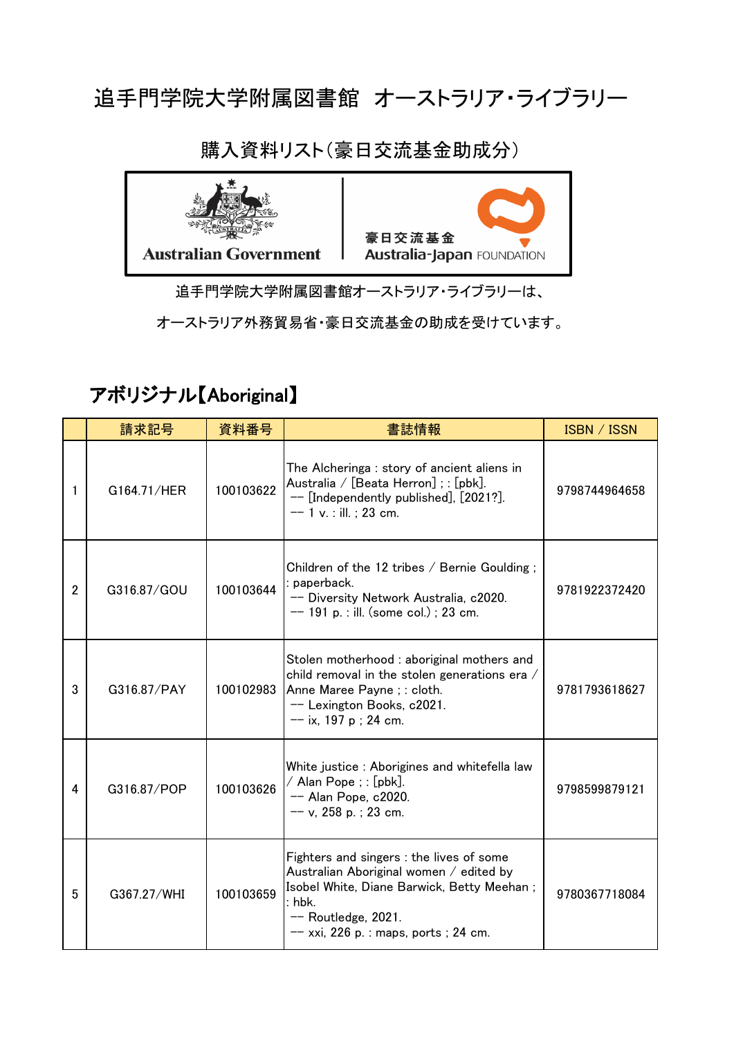#### 追手門学院大学附属図書館 オーストラリア・ライブラリー



購入資料リスト(豪日交流基金助成分)

追手門学院大学附属図書館オーストラリア・ライブラリーは、

オーストラリア外務貿易省・豪日交流基金の助成を受けています。

#### アボリジナル【Aboriginal】

|                | 請求記号        | 資料番号      | 書誌情報                                                                                                                                                                                                          | <b>ISBN / ISSN</b> |
|----------------|-------------|-----------|---------------------------------------------------------------------------------------------------------------------------------------------------------------------------------------------------------------|--------------------|
| 1              | G164.71/HER | 100103622 | The Alcheringa: story of ancient aliens in<br>Australia / [Beata Herron]; : [pbk].<br>-- [Independently published], [2021?].<br>$-$ 1 v. : ill. ; 23 cm.                                                      | 9798744964658      |
| $\overline{2}$ | G316.87/GOU | 100103644 | Children of the 12 tribes $/$ Bernie Goulding;<br>paperback.<br>-- Diversity Network Australia, c2020.<br>$-$ 191 p. : ill. (some col.) ; 23 cm.                                                              | 9781922372420      |
| 3              | G316.87/PAY | 100102983 | Stolen motherhood : aboriginal mothers and<br>child removal in the stolen generations era /<br>Anne Maree Payne; : cloth.<br>-- Lexington Books, c2021.<br>$--$ ix, 197 p; 24 cm.                             | 9781793618627      |
| 4              | G316.87/POP | 100103626 | White justice : Aborigines and whitefella law<br>/ Alan Pope ; : [pbk].<br>$-$ Alan Pope, c2020.<br>$-- v$ , 258 p.; 23 cm.                                                                                   | 9798599879121      |
| 5              | G367.27/WHI | 100103659 | Fighters and singers : the lives of some<br>Australian Aboriginal women / edited by<br>Isobel White, Diane Barwick, Betty Meehan;<br>: hbk.<br>$-$ Routledge, 2021.<br>$-$ xxi, 226 p. : maps, ports ; 24 cm. | 9780367718084      |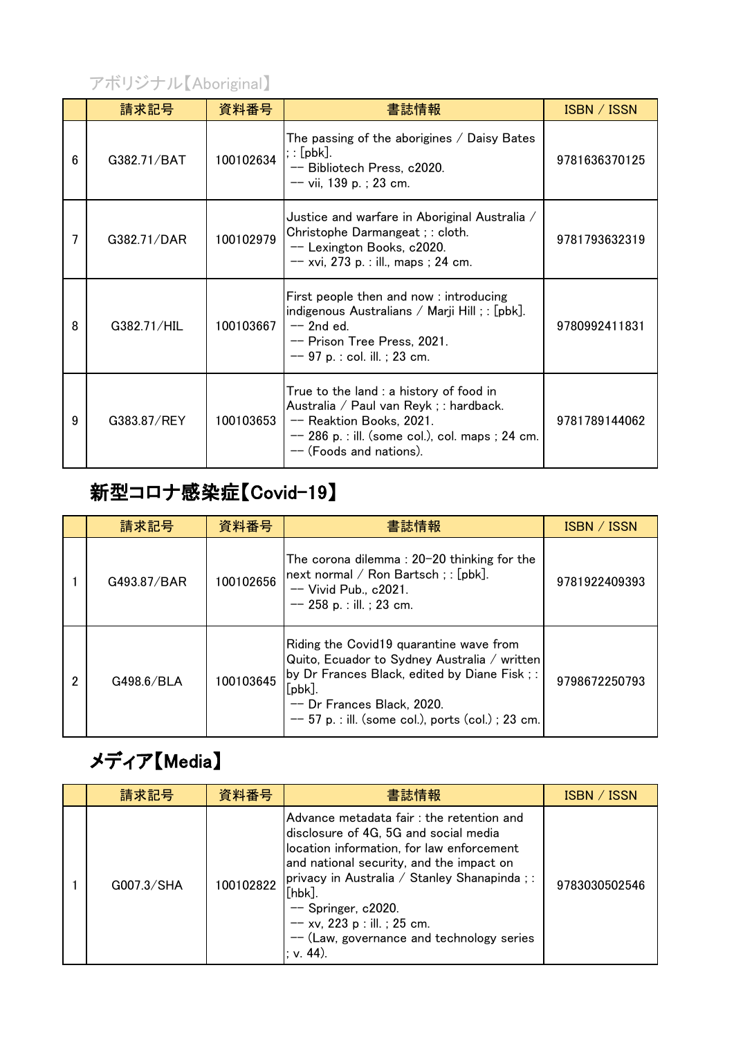#### アボリジナル【Aboriginal】

|   | 請求記号        | 資料番号      | 書誌情報                                                                                                                                                                                           | ISBN / ISSN   |
|---|-------------|-----------|------------------------------------------------------------------------------------------------------------------------------------------------------------------------------------------------|---------------|
| 6 | G382.71/BAT | 100102634 | The passing of the aborigines $\angle$ Daisy Bates<br>; : [pbk].<br>-- Bibliotech Press, c2020.<br>$--$ vii, 139 p.; 23 cm.                                                                    | 9781636370125 |
|   | G382.71/DAR | 100102979 | Justice and warfare in Aboriginal Australia /<br>Christophe Darmangeat ; : cloth.<br>-- Lexington Books, c2020.<br>$-- xvi$ , 273 p. : ill., maps ; 24 cm.                                     | 9781793632319 |
| 8 | G382.71/HIL | 100103667 | First people then and now: introducing<br>indigenous Australians / Marji Hill; : [pbk].<br>$-$ 2nd ed.<br>-- Prison Tree Press, 2021.<br>$-$ 97 p. : col. ill. ; 23 cm.                        | 9780992411831 |
| 9 | G383.87/REY | 100103653 | True to the land : a history of food in<br>Australia / Paul van Reyk ; : hardback.<br>-- Reaktion Books, 2021.<br>$-$ 286 p. : ill. (some col.), col. maps ; 24 cm.<br>-- (Foods and nations). | 9781789144062 |

## 新型コロナ感染症【Covid-19】

|   | 請求記号        | 資料番号      | 書誌情報                                                                                                                                                                                                                                           | <b>ISBN</b> / ISSN |
|---|-------------|-----------|------------------------------------------------------------------------------------------------------------------------------------------------------------------------------------------------------------------------------------------------|--------------------|
|   | G493.87/BAR | 100102656 | The corona dilemma : $20-20$ thinking for the<br>next normal / Ron Bartsch; : [pbk].<br>$-$ Vivid Pub., $c2021$ .<br>$-$ 258 p. : ill. ; 23 cm.                                                                                                | 9781922409393      |
| 2 | G498.6/BLA  | 100103645 | Riding the Covid19 quarantine wave from<br>Quito, Ecuador to Sydney Australia / written<br>by Dr Frances Black, edited by Diane Fisk;:<br>$[{\sf pbk}]$ .<br>-- Dr Frances Black, 2020.<br>$-- 57$ p. : ill. (some col.), ports (col.); 23 cm. | 9798672250793      |

### メディア【Media】

| 請求記号       | 資料番号      | 書誌情報                                                                                                                                                                                                                                                                                                                                                          | ISBN / ISSN   |
|------------|-----------|---------------------------------------------------------------------------------------------------------------------------------------------------------------------------------------------------------------------------------------------------------------------------------------------------------------------------------------------------------------|---------------|
| G007.3/SHA | 100102822 | Advance metadata fair: the retention and<br>disclosure of 4G, 5G and social media<br>location information, for law enforcement<br>and national security, and the impact on<br>  privacy in Australia / Stanley Shanapinda ; :<br>$[$ hbk $]$<br>$-$ Springer, c2020.<br>$-$ xv, 223 p : ill. ; 25 cm.<br>$-$ (Law, governance and technology series<br>v. 44. | 9783030502546 |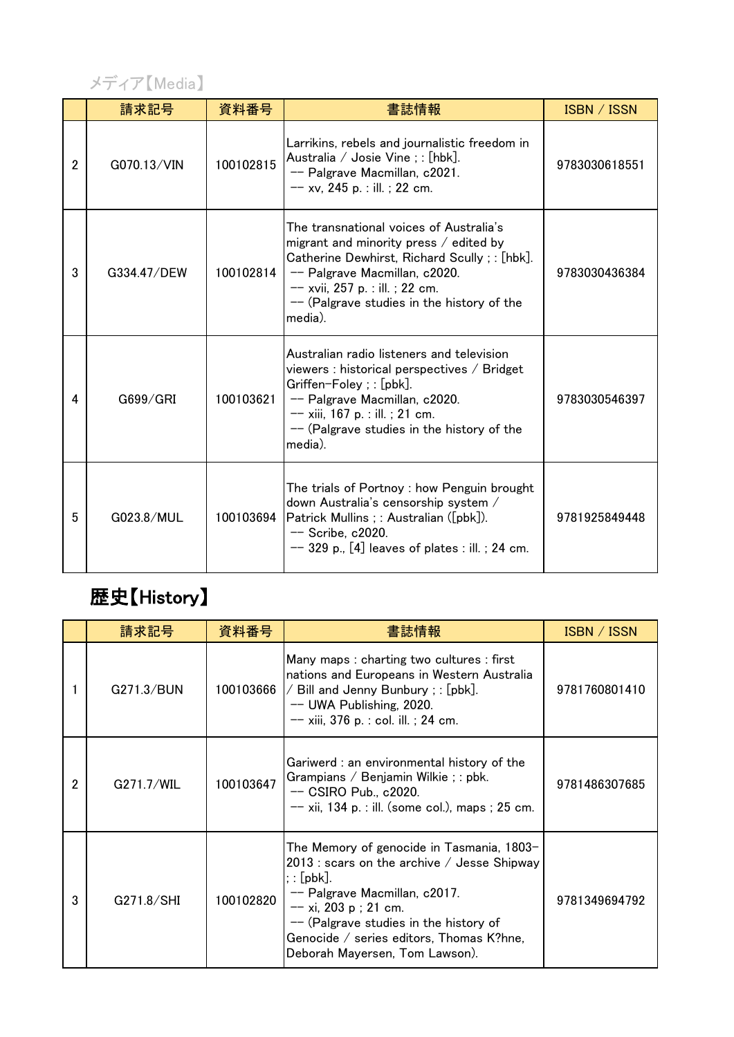

|                | 請求記号        | 資料番号      | 書誌情報                                                                                                                                                                                                                                                              | ISBN / ISSN   |
|----------------|-------------|-----------|-------------------------------------------------------------------------------------------------------------------------------------------------------------------------------------------------------------------------------------------------------------------|---------------|
| $\overline{2}$ | G070.13/VIN | 100102815 | Larrikins, rebels and journalistic freedom in<br>Australia / Josie Vine ; : [hbk].<br>-- Palgrave Macmillan, c2021.<br>$-$ xv, 245 p. : ill. ; 22 cm.                                                                                                             | 9783030618551 |
| 3              | G334.47/DEW | 100102814 | The transnational voices of Australia's<br>migrant and minority press / edited by<br>Catherine Dewhirst, Richard Scully; : [hbk].<br>-- Palgrave Macmillan, c2020.<br>$-- xvii$ , 257 p. : ill. ; 22 cm.<br>-- (Palgrave studies in the history of the<br>media). | 9783030436384 |
| 4              | G699/GRI    | 100103621 | Australian radio listeners and television<br>viewers : historical perspectives / Bridget<br>Griffen-Foley ; : [pbk].<br>-- Palgrave Macmillan, c2020.<br>$-$ xiii, 167 p. : ill. ; 21 cm.<br>$-$ (Palgrave studies in the history of the<br>media).               | 9783030546397 |
| 5              | G023.8/MUL  | 100103694 | The trials of Portnoy: how Penguin brought<br>down Australia's censorship system /<br>Patrick Mullins ; : Australian ([pbk]).<br>-- Scribe, c2020.<br>$-$ 329 p., [4] leaves of plates : ill. ; 24 cm.                                                            | 9781925849448 |

## 歴史【History】

|                | 請求記号       | 資料番号      | 書誌情報                                                                                                                                                                                                                                                                                                                      | ISBN / ISSN   |
|----------------|------------|-----------|---------------------------------------------------------------------------------------------------------------------------------------------------------------------------------------------------------------------------------------------------------------------------------------------------------------------------|---------------|
|                | G271.3/BUN | 100103666 | Many maps: charting two cultures: first<br>nations and Europeans in Western Australia<br>$\angle$ Bill and Jenny Bunbury ; : [pbk].<br>-- UWA Publishing, 2020.<br>$-- xiii$ , 376 p. : col. ill. ; 24 cm.                                                                                                                | 9781760801410 |
| $\overline{2}$ | G271.7/WIL | 100103647 | Gariwerd : an environmental history of the<br>Grampians / Benjamin Wilkie ; : pbk.<br>$-$ CSIRO Pub., c2020.<br>$-- xii$ , 134 p. : ill. (some col.), maps ; 25 cm.                                                                                                                                                       | 9781486307685 |
| 3              | G271.8/SHI | 100102820 | The Memory of genocide in Tasmania, 1803-<br>2013 : scars on the archive $\overline{\phantom{a}}$ Jesse Shipway<br>$;:[\mathsf{pbk}].$<br>-- Palgrave Macmillan, c2017.<br>$-$ xi, 203 p ; 21 cm.<br>-- (Palgrave studies in the history of<br>Genocide / series editors, Thomas K?hne,<br>Deborah Mayersen, Tom Lawson). | 9781349694792 |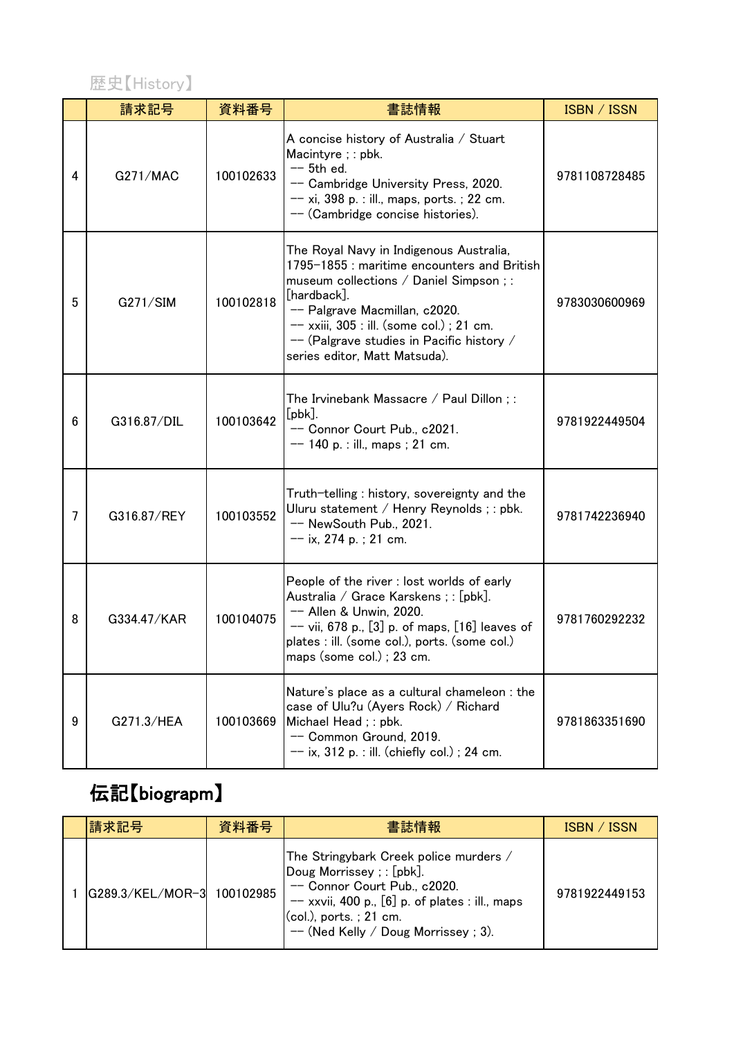#### 歴史【History】

|                | 請求記号        | 資料番号      | 書誌情報                                                                                                                                                                                                                                                                                                           | ISBN / ISSN   |
|----------------|-------------|-----------|----------------------------------------------------------------------------------------------------------------------------------------------------------------------------------------------------------------------------------------------------------------------------------------------------------------|---------------|
| 4              | G271/MAC    | 100102633 | A concise history of Australia / Stuart<br>Macintyre ; : pbk.<br>$-$ 5th ed.<br>-- Cambridge University Press, 2020.<br>$-- xi$ , 398 p. : ill., maps, ports. ; 22 cm.<br>-- (Cambridge concise histories).                                                                                                    | 9781108728485 |
| 5              | G271/SIM    | 100102818 | The Royal Navy in Indigenous Australia,<br>1795-1855 : maritime encounters and British<br>museum collections / Daniel Simpson ; :<br>[hardback].<br>-- Palgrave Macmillan, c2020.<br>$--$ xxiii, 305 : ill. (some col.) ; 21 cm.<br>-- (Palgrave studies in Pacific history /<br>series editor, Matt Matsuda). | 9783030600969 |
| 6              | G316.87/DIL | 100103642 | The Irvinebank Massacre / Paul Dillon ; :<br>$[pbk]$ .<br>-- Connor Court Pub., c2021.<br>$--$ 140 p. : ill., maps ; 21 cm.                                                                                                                                                                                    | 9781922449504 |
| $\overline{7}$ | G316.87/REY | 100103552 | Truth-telling: history, sovereignty and the<br>Uluru statement / Henry Reynolds ; : pbk.<br>-- NewSouth Pub., 2021.<br>$-$ ix, 274 p.; 21 cm.                                                                                                                                                                  | 9781742236940 |
| 8              | G334.47/KAR | 100104075 | People of the river : lost worlds of early<br>Australia / Grace Karskens ; : [pbk].<br>-- Allen & Unwin, 2020.<br>$-$ vii, 678 p., [3] p. of maps, [16] leaves of<br>plates : ill. (some col.), ports. (some col.)<br>maps (some col.); 23 cm.                                                                 | 9781760292232 |
| 9              | G271.3/HEA  | 100103669 | Nature's place as a cultural chameleon : the<br>case of Ulu?u (Ayers Rock) / Richard<br>Michael Head; : pbk.<br>-- Common Ground, 2019.<br>$-$ ix, 312 p. : ill. (chiefly col.) ; 24 cm.                                                                                                                       | 9781863351690 |

# 伝記【biograpm】

| 請求記号             | 資料番号      | 書誌情報                                                                                                                                                                                                                            | ISBN / ISSN   |
|------------------|-----------|---------------------------------------------------------------------------------------------------------------------------------------------------------------------------------------------------------------------------------|---------------|
| G289.3/KEL/MOR-3 | 100102985 | The Stringybark Creek police murders /<br>Doug Morrissey ; : [pbk].<br>-- Connor Court Pub., c2020.<br>$-$ xxvii, 400 p., $[6]$ p. of plates : ill., maps<br>$(col.)$ , ports.; 21 cm.<br>$--$ (Ned Kelly / Doug Morrissey; 3). | 9781922449153 |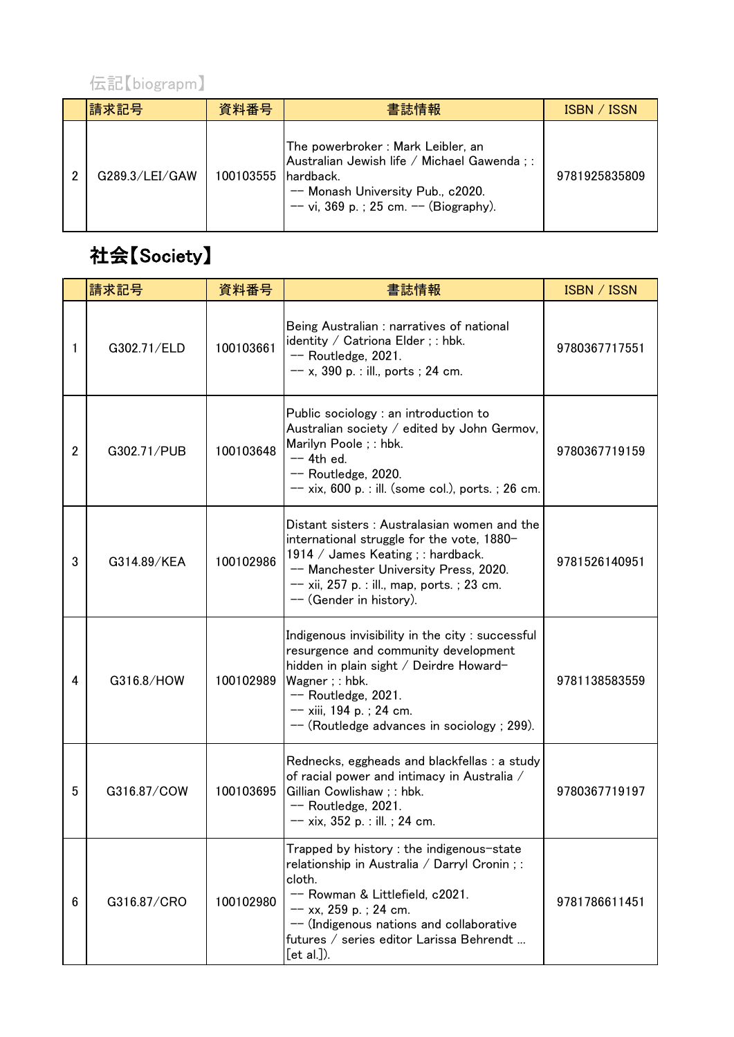

| 請求記号           | 資料番号                 | 書誌情報                                                                                                                                                            | ISBN / ISSN   |
|----------------|----------------------|-----------------------------------------------------------------------------------------------------------------------------------------------------------------|---------------|
| G289.3/LEI/GAW | 100103555 Ihardback. | The powerbroker: Mark Leibler, an<br>Australian Jewish life / Michael Gawenda;:<br>-- Monash University Pub., c2020.<br>$-$ vi, 369 p.; 25 cm. $-$ (Biography). | 9781925835809 |

## 社会【Society】

|                | 請求記号        | 資料番号      | 書誌情報                                                                                                                                                                                                                                                                    | <b>ISBN / ISSN</b> |
|----------------|-------------|-----------|-------------------------------------------------------------------------------------------------------------------------------------------------------------------------------------------------------------------------------------------------------------------------|--------------------|
| 1              | G302.71/ELD | 100103661 | Being Australian : narratives of national<br>identity / Catriona Elder ; : hbk.<br>$-$ Routledge, 2021.<br>$-- x$ , 390 p. : ill., ports ; 24 cm.                                                                                                                       | 9780367717551      |
| $\overline{2}$ | G302.71/PUB | 100103648 | Public sociology : an introduction to<br>Australian society / edited by John Germov,<br>Marilyn Poole ; : hbk.<br>$-$ 4th ed.<br>$-$ Routledge, 2020.<br>$-- x$ ix, 600 p. : ill. (some col.), ports. ; 26 cm.                                                          | 9780367719159      |
| 3              | G314.89/KEA | 100102986 | Distant sisters: Australasian women and the<br>international struggle for the vote, 1880-<br>1914 / James Keating ; : hardback.<br>-- Manchester University Press, 2020.<br>-- xii, 257 p. : ill., map, ports. ; 23 cm.<br>-- (Gender in history).                      | 9781526140951      |
| 4              | G316.8/HOW  | 100102989 | Indigenous invisibility in the city: successful<br>resurgence and community development<br>hidden in plain sight / Deirdre Howard-<br>Wagner; : hbk.<br>$-$ Routledge, 2021.<br>$-- xiii$ , 194 p.; 24 cm.<br>$--$ (Routledge advances in sociology; 299).              | 9781138583559      |
| 5              | G316.87/COW | 100103695 | Rednecks, eggheads and blackfellas : a study<br>of racial power and intimacy in Australia /<br>Gillian Cowlishaw; : hbk.<br>$-$ Routledge, 2021.<br>$-- xix, 352 p.:$ ill.; 24 cm.                                                                                      | 9780367719197      |
| 6              | G316.87/CRO | 100102980 | Trapped by history : the indigenous-state<br>relationship in Australia / Darryl Cronin ; :<br>cloth.<br>-- Rowman & Littlefield, c2021.<br>$-$ xx, 259 p.; 24 cm.<br>-- (Indigenous nations and collaborative<br>futures / series editor Larissa Behrendt<br>[et al.]). | 9781786611451      |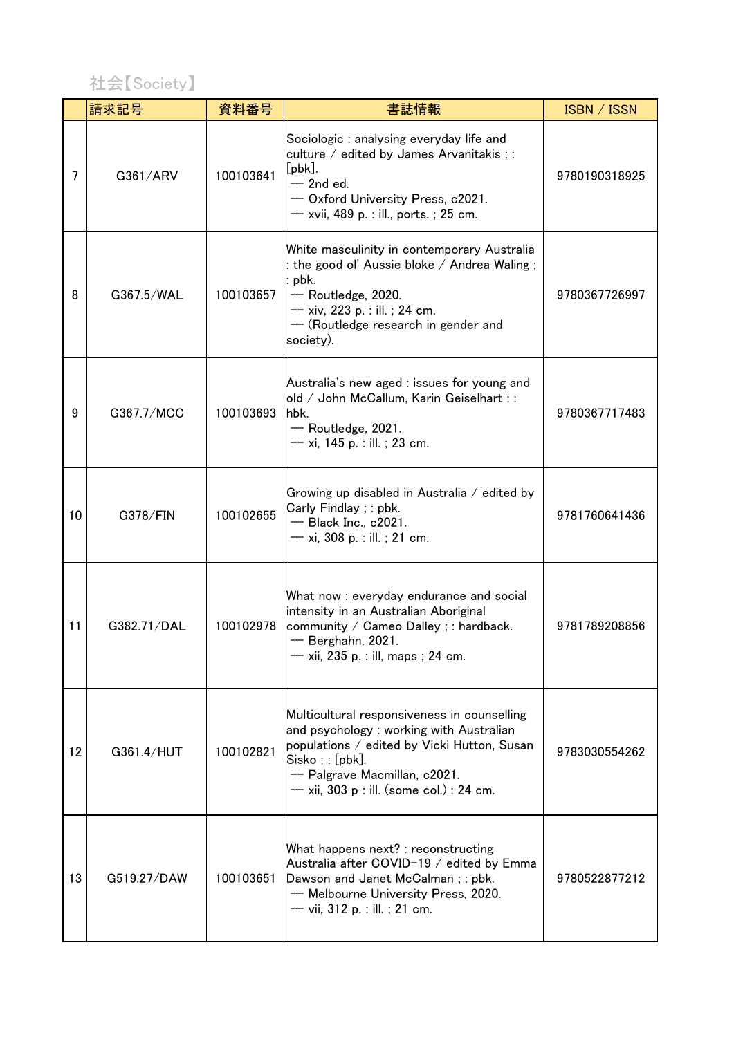

|    | 請求記号        | 資料番号      | 書誌情報                                                                                                                                                                                                                                           | ISBN / ISSN   |
|----|-------------|-----------|------------------------------------------------------------------------------------------------------------------------------------------------------------------------------------------------------------------------------------------------|---------------|
| 7  | G361/ARV    | 100103641 | Sociologic: analysing everyday life and<br>culture / edited by James Arvanitakis ; :<br>$[pbk]$ .<br>$-$ 2nd ed.<br>-- Oxford University Press, c2021.<br>$-- xvii$ , 489 p. : ill., ports. ; 25 cm.                                           | 9780190318925 |
| 8  | G367.5/WAL  | 100103657 | White masculinity in contemporary Australia<br>: the good ol' Aussie bloke / Andrea Waling ;<br>$:$ pbk.<br>-- Routledge, 2020.<br>$-- xiv$ , 223 p. : ill. ; 24 cm.<br>$-$ (Routledge research in gender and<br>society).                     | 9780367726997 |
| 9  | G367.7/MCC  | 100103693 | Australia's new aged : issues for young and<br>old / John McCallum, Karin Geiselhart ; :<br>hbk.<br>$-$ Routledge, 2021.<br>$-- xi$ , 145 p. : ill. ; 23 cm.                                                                                   | 9780367717483 |
| 10 | G378/FIN    | 100102655 | Growing up disabled in Australia $\ell$ edited by<br>Carly Findlay ; : pbk.<br>$-$ Black Inc., c2021.<br>$-- xi$ , 308 p. : ill. ; 21 cm.                                                                                                      | 9781760641436 |
| 11 | G382.71/DAL | 100102978 | What now : everyday endurance and social<br>intensity in an Australian Aboriginal<br>community / Cameo Dalley ; : hardback.<br>$-$ Berghahn, 2021.<br>$-$ xii, 235 p. : ill, maps ; 24 cm.                                                     | 9781789208856 |
| 12 | G361.4/HUT  | 100102821 | Multicultural responsiveness in counselling<br>and psychology: working with Australian<br>populations / edited by Vicki Hutton, Susan<br>$Sisko$ ; : $[pbk]$ .<br>-- Palgrave Macmillan, c2021.<br>$-- xii$ , 303 p : ill. (some col.); 24 cm. | 9783030554262 |
| 13 | G519.27/DAW | 100103651 | What happens next? : reconstructing<br>Australia after COVID-19 / edited by Emma<br>Dawson and Janet McCalman; : pbk.<br>-- Melbourne University Press, 2020.<br>$-- vii$ , 312 p. : ill. ; 21 cm.                                             | 9780522877212 |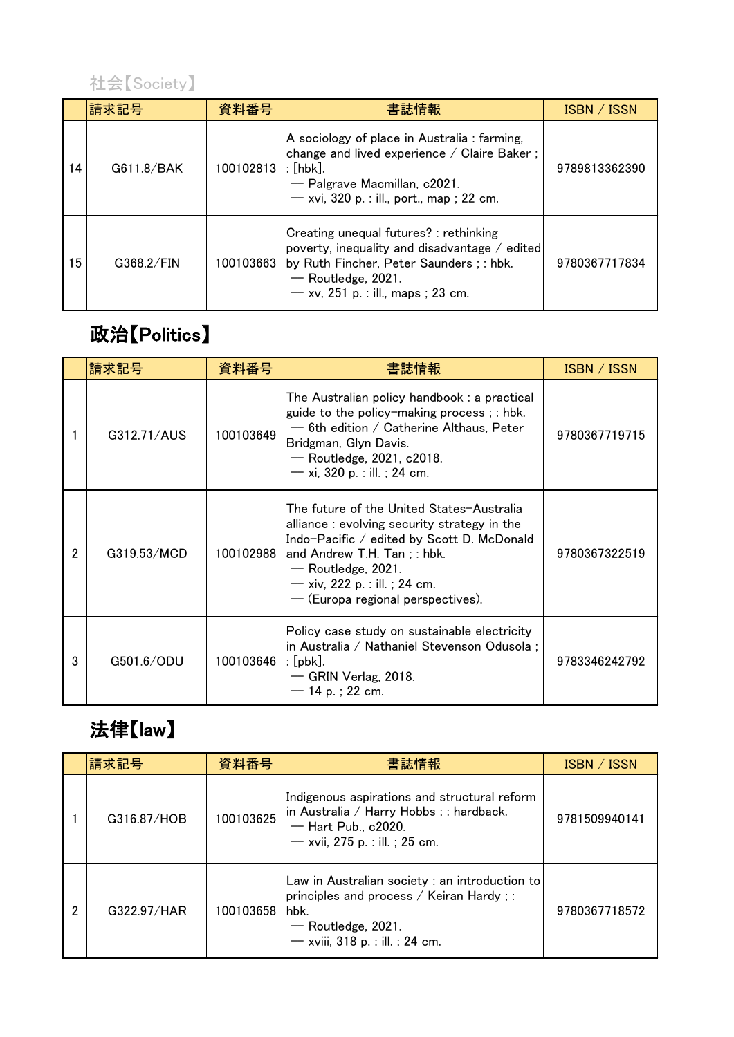

|    | 請求記号       | 資料番号      | 書誌情報                                                                                                                                                                                                | ISBN / ISSN   |
|----|------------|-----------|-----------------------------------------------------------------------------------------------------------------------------------------------------------------------------------------------------|---------------|
| 14 | G611.8/BAK | 100102813 | A sociology of place in Australia : farming,<br>change and lived experience / Claire Baker;<br>$:$ [hbk].<br>-- Palgrave Macmillan, c2021.<br>$-$ xvi, 320 p. : ill., port., map ; 22 cm.           | 9789813362390 |
| 15 | G368.2/FIN | 100103663 | Creating unequal futures? : rethinking<br>poverty, inequality and disadvantage / edited<br>by Ruth Fincher, Peter Saunders; : hbk.<br>$-$ Routledge, 2021.<br>$--$ xv, 251 p. : ill., maps ; 23 cm. | 9780367717834 |

#### 政治【Politics】

|                | 請求記号        | 資料番号      | 書誌情報                                                                                                                                                                                                                                                                      | ISBN / ISSN   |
|----------------|-------------|-----------|---------------------------------------------------------------------------------------------------------------------------------------------------------------------------------------------------------------------------------------------------------------------------|---------------|
|                | G312.71/AUS | 100103649 | The Australian policy handbook: a practical<br>guide to the policy-making process; : hbk.<br>$-$ 6th edition / Catherine Althaus, Peter<br>Bridgman, Glyn Davis.<br>$-$ Routledge, 2021, c2018.<br>$-- xi$ , 320 p. : ill. ; 24 cm.                                       | 9780367719715 |
| $\overline{2}$ | G319.53/MCD | 100102988 | The future of the United States–Australia<br>alliance: evolving security strategy in the<br>Indo-Pacific / edited by Scott D. McDonald<br>and Andrew T.H. Tan; : hbk.<br>$-$ Routledge, 2021.<br>$-- xiv$ , 222 p. : ill. ; 24 cm.<br>$-$ (Europa regional perspectives). | 9780367322519 |
| 3              | G501.6/ODU  | 100103646 | Policy case study on sustainable electricity<br>in Australia / Nathaniel Stevenson Odusola ;<br>: [pbk].<br>$-$ GRIN Verlag, 2018.<br>$-$ 14 p.; 22 cm.                                                                                                                   | 9783346242792 |

# 法律【law】

|   | 請求記号        | 資料番号      | 書誌情報                                                                                                                                                            | ISBN / ISSN   |
|---|-------------|-----------|-----------------------------------------------------------------------------------------------------------------------------------------------------------------|---------------|
|   | G316.87/HOB | 100103625 | Indigenous aspirations and structural reform<br>in Australia / Harry Hobbs ; : hardback.<br>-- Hart Pub., c2020.<br>$--$ xvii, 275 p. : ill. ; 25 cm.           | 9781509940141 |
| 2 | G322.97/HAR | 100103658 | Law in Australian society : an introduction to<br>principles and process / Keiran Hardy;:<br>lhbk.<br>$-$ Routledge, 2021.<br>$-$ xviii, 318 p. : ill. ; 24 cm. | 9780367718572 |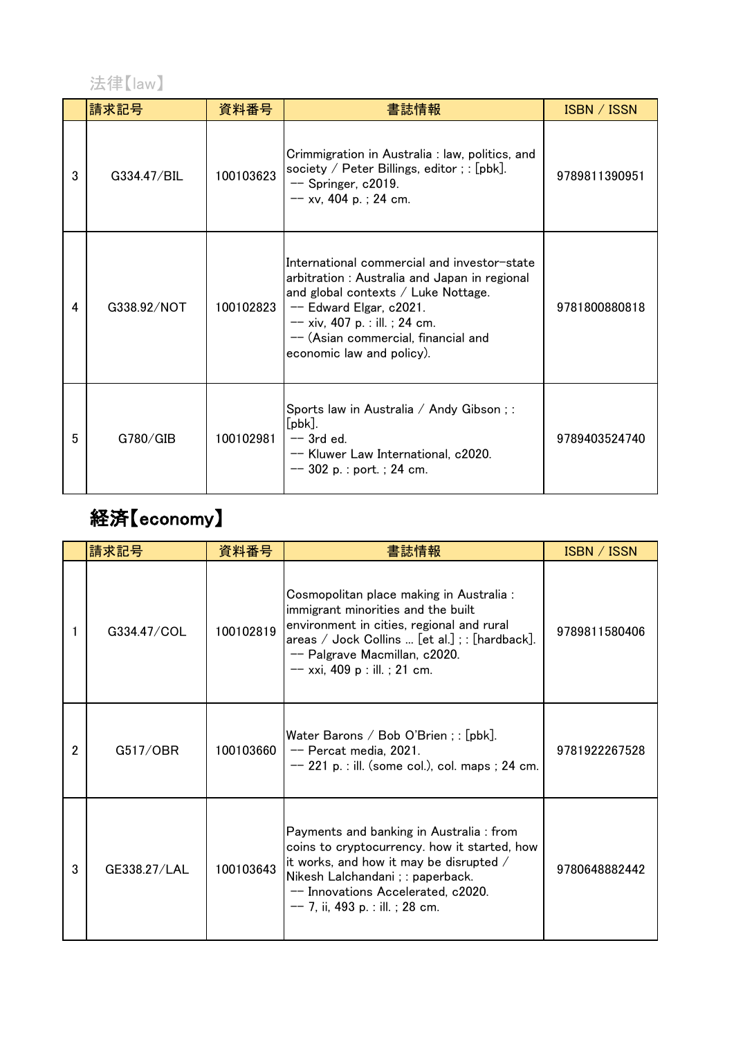法律【law】

|   | 請求記号        | 資料番号      | 書誌情報                                                                                                                                                                                                                                                                           | ISBN / ISSN   |
|---|-------------|-----------|--------------------------------------------------------------------------------------------------------------------------------------------------------------------------------------------------------------------------------------------------------------------------------|---------------|
| 3 | G334.47/BIL | 100103623 | Crimmigration in Australia : law, politics, and<br>society / Peter Billings, editor; : [pbk].<br>$-$ Springer, c2019.<br>$-$ xv, 404 p.; 24 cm.                                                                                                                                | 9789811390951 |
| 4 | G338.92/NOT | 100102823 | International commercial and investor-state<br>arbitration: Australia and Japan in regional<br>and global contexts $\angle$ Luke Nottage.<br>$-$ Edward Elgar, c2021.<br>$-- xiv$ , 407 p. : ill. ; 24 cm.<br>-- (Asian commercial, financial and<br>economic law and policy). | 9781800880818 |
| 5 | G780/GIB    | 100102981 | Sports law in Australia / Andy Gibson;:<br>$[pbk]$ .<br>$-$ 3rd ed.<br>-- Kluwer Law International, c2020.<br>$--$ 302 p. : port. ; 24 cm.                                                                                                                                     | 9789403524740 |

# 経済【economy】

|                | 請求記号         | 資料番号      | 書誌情報                                                                                                                                                                                                                                                   | ISBN / ISSN   |
|----------------|--------------|-----------|--------------------------------------------------------------------------------------------------------------------------------------------------------------------------------------------------------------------------------------------------------|---------------|
|                | G334.47/COL  | 100102819 | Cosmopolitan place making in Australia :<br>immigrant minorities and the built<br>environment in cities, regional and rural<br>areas / Jock Collins  [et al.]; : [hardback].<br>-- Palgrave Macmillan, c2020.<br>$--$ xxi, 409 p : ill. ; 21 cm.       | 9789811580406 |
| $\mathfrak{p}$ | G517/OBR     | 100103660 | Water Barons / Bob O'Brien; : $[pbk]$ .<br>-- Percat media, 2021.<br>$-$ 221 p. : ill. (some col.), col. maps ; 24 cm.                                                                                                                                 | 9781922267528 |
| 3              | GE338.27/LAL | 100103643 | Payments and banking in Australia: from<br>coins to cryptocurrency. how it started, how<br>it works, and how it may be disrupted $/$<br>Nikesh Lalchandani ; : paperback.<br>-- Innovations Accelerated, c2020.<br>$-- 7$ , ii, 493 p. : ill. ; 28 cm. | 9780648882442 |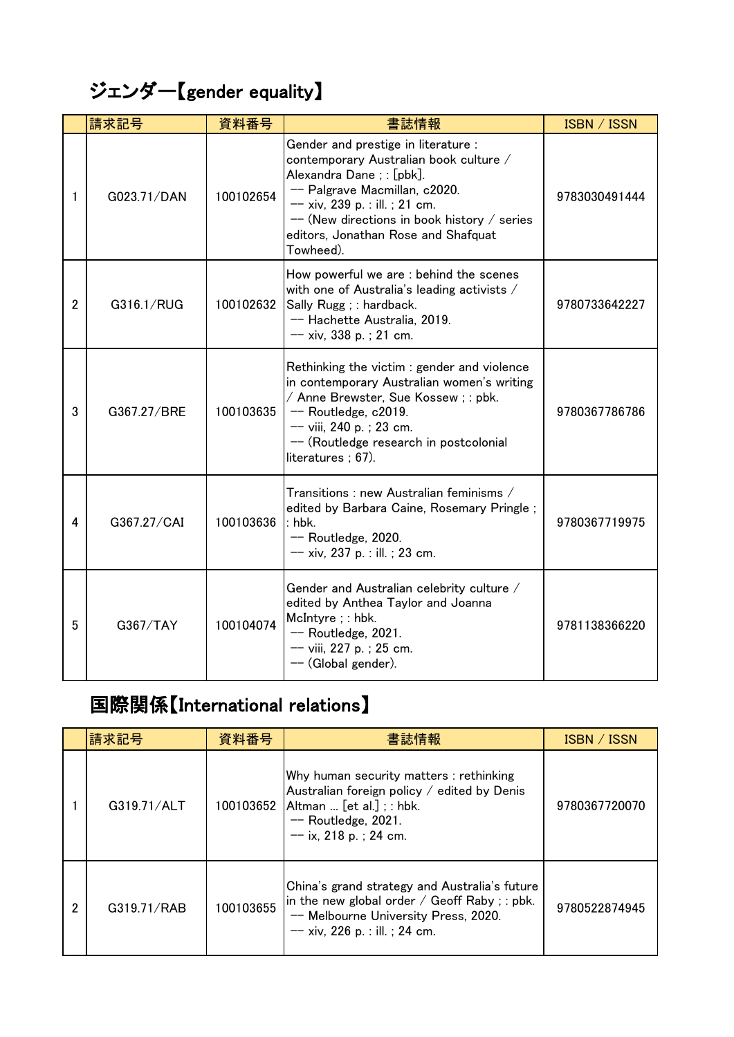### ジェンダー【gender equality】

|                | 請求記号        | 資料番号      | 書誌情報                                                                                                                                                                                                                                                                               | ISBN / ISSN   |
|----------------|-------------|-----------|------------------------------------------------------------------------------------------------------------------------------------------------------------------------------------------------------------------------------------------------------------------------------------|---------------|
| 1              | G023.71/DAN | 100102654 | Gender and prestige in literature :<br>contemporary Australian book culture /<br>Alexandra Dane; : [pbk].<br>-- Palgrave Macmillan, c2020.<br>$-- xiv$ , 239 p. : ill. ; 21 cm.<br>-- (New directions in book history / series<br>editors, Jonathan Rose and Shafquat<br>Towheed). | 9783030491444 |
| $\overline{2}$ | G316.1/RUG  | 100102632 | How powerful we are : behind the scenes<br>with one of Australia's leading activists /<br>Sally Rugg ; : hardback.<br>-- Hachette Australia, 2019.<br>$-$ xiv, 338 p.; 21 cm.                                                                                                      | 9780733642227 |
| 3              | G367.27/BRE | 100103635 | Rethinking the victim: gender and violence<br>in contemporary Australian women's writing<br>/ Anne Brewster, Sue Kossew; : pbk.<br>$-$ Routledge, c2019.<br>-- viii, 240 p.; 23 cm.<br>-- (Routledge research in postcolonial<br>literatures $; 67)$ .                             | 9780367786786 |
| 4              | G367.27/CAI | 100103636 | Transitions : new Australian feminisms $\overline{\phantom{x}}$<br>edited by Barbara Caine, Rosemary Pringle;<br>$:$ hbk.<br>$-$ Routledge, 2020.<br>$-- xiv$ , 237 p. : ill. ; 23 cm.                                                                                             | 9780367719975 |
| 5              | G367/TAY    | 100104074 | Gender and Australian celebrity culture /<br>edited by Anthea Taylor and Joanna<br>McIntyre; : hbk.<br>$-$ Routledge, 2021.<br>$--$ viii, 227 p.; 25 cm.<br>-- (Global gender).                                                                                                    | 9781138366220 |

### 国際関係【International relations】

|   | 請求記号        | 資料番号      | 書誌情報                                                                                                                                                                           | ISBN / ISSN   |
|---|-------------|-----------|--------------------------------------------------------------------------------------------------------------------------------------------------------------------------------|---------------|
|   | G319.71/ALT |           | Why human security matters: rethinking<br>Australian foreign policy / edited by Denis<br>100103652 Altman  [et al.]; : hbk.<br>$-$ Routledge, 2021.<br>$--$ ix, 218 p.; 24 cm. | 9780367720070 |
| 2 | G319.71/RAB | 100103655 | China's grand strategy and Australia's future<br>in the new global order / $Geoff$ Raby ; : pbk.<br>-- Melbourne University Press, 2020.<br>$-$ xiv, 226 p. : ill. ; 24 cm.    | 9780522874945 |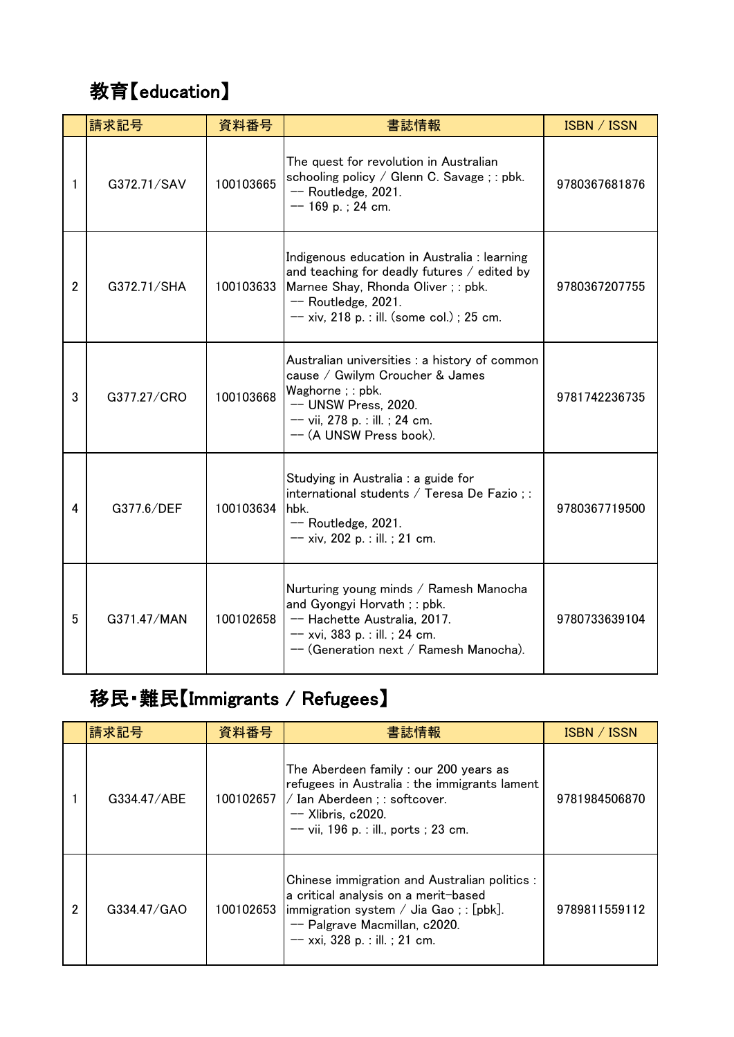# 教育【education】

|                | 請求記号        | 資料番号           | 書誌情報                                                                                                                                                                                                    | ISBN / ISSN   |
|----------------|-------------|----------------|---------------------------------------------------------------------------------------------------------------------------------------------------------------------------------------------------------|---------------|
| 1              | G372.71/SAV | 100103665      | The quest for revolution in Australian<br>schooling policy / Glenn C. Savage ; : pbk.<br>$-$ Routledge, 2021.<br>$-$ 169 p.; 24 cm.                                                                     | 9780367681876 |
| $\overline{2}$ | G372.71/SHA | 100103633      | Indigenous education in Australia : learning<br>and teaching for deadly futures / edited by<br>Marnee Shay, Rhonda Oliver; : pbk.<br>$-$ Routledge, 2021.<br>$-$ xiv, 218 p. : ill. (some col.); 25 cm. | 9780367207755 |
| 3              | G377.27/CRO | 100103668      | Australian universities : a history of common<br>cause / Gwilym Croucher & James<br>Waghorne; : pbk.<br>-- UNSW Press, 2020.<br>$-- vii$ , 278 p. : ill. ; 24 cm.<br>-- (A UNSW Press book).            | 9781742236735 |
| 4              | G377.6/DEF  | 100103634 hbk. | Studying in Australia : a guide for<br>international students / Teresa De Fazio;:<br>$-$ Routledge, 2021.<br>$-- xiv$ , 202 p. : ill. ; 21 cm.                                                          | 9780367719500 |
| 5              | G371.47/MAN | 100102658      | Nurturing young minds / Ramesh Manocha<br>and Gyongyi Horvath; : pbk.<br>-- Hachette Australia, 2017.<br>$-- xvi$ , 383 p. : ill. ; 24 cm.<br>-- (Generation next / Ramesh Manocha).                    | 9780733639104 |

### 移民・難民【Immigrants / Refugees】

|   | 請求記号        | 資料番号      | 書誌情報                                                                                                                                                                                                | ISBN / ISSN   |
|---|-------------|-----------|-----------------------------------------------------------------------------------------------------------------------------------------------------------------------------------------------------|---------------|
|   | G334.47/ABE | 100102657 | The Aberdeen family: our 200 years as<br>refugees in Australia : the immigrants lament<br>/ Ian Aberdeen ; : softcover.<br>$-$ Xlibris, c2020.<br>$--$ vii, 196 p. : ill., ports ; 23 cm.           | 9781984506870 |
| 2 | G334.47/GAO | 100102653 | Chinese immigration and Australian politics :<br>a critical analysis on a merit-based<br>immigration system / Jia Gao; : [pbk].<br>-- Palgrave Macmillan, c2020.<br>$-$ xxi, 328 p. : ill. ; 21 cm. | 9789811559112 |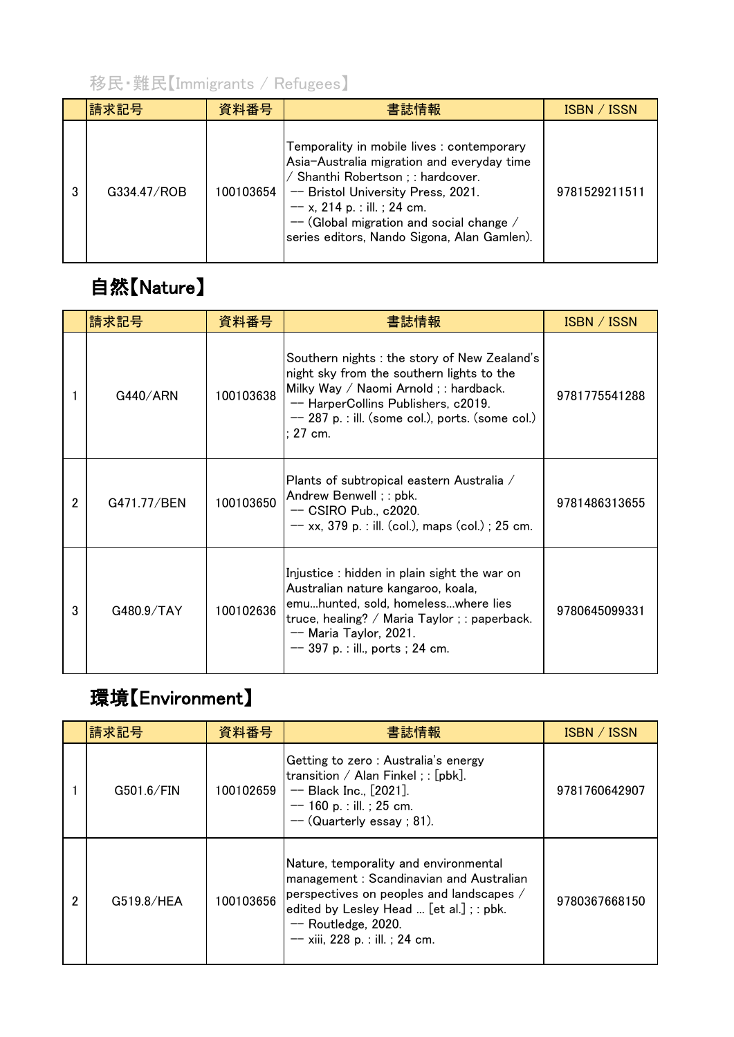#### 移民・難民【Immigrants / Refugees】

| 請求記号        | 資料番号      | 書誌情報                                                                                                                                                                                                                                                                                          | ISBN / ISSN   |
|-------------|-----------|-----------------------------------------------------------------------------------------------------------------------------------------------------------------------------------------------------------------------------------------------------------------------------------------------|---------------|
| G334.47/ROB | 100103654 | Temporality in mobile lives : contemporary<br>Asia-Australia migration and everyday time<br>Shanthi Robertson; : hardcover.<br>-- Bristol University Press, 2021.<br>$-$ x, 214 p. : ill. ; 24 cm.<br>-- (Global migration and social change /<br>series editors, Nando Sigona, Alan Gamlen). | 9781529211511 |

## 自然【Nature】

|                | 請求記号        | 資料番号      | 書誌情報                                                                                                                                                                                                                                        | ISBN / ISSN   |
|----------------|-------------|-----------|---------------------------------------------------------------------------------------------------------------------------------------------------------------------------------------------------------------------------------------------|---------------|
|                | G440/ARN    | 100103638 | Southern nights : the story of New Zealand's<br>night sky from the southern lights to the<br>Milky Way / Naomi Arnold ; : hardback.<br>-- HarperCollins Publishers, c2019.<br>$-$ 287 p. : ill. (some col.), ports. (some col.)<br>: 27 cm. | 9781775541288 |
| $\overline{2}$ | G471.77/BEN | 100103650 | Plants of subtropical eastern Australia /<br>Andrew Benwell; : pbk.<br>$-$ CSIRO Pub., c2020.<br>$-$ xx, 379 p. : ill. (col.), maps (col.) ; 25 cm.                                                                                         | 9781486313655 |
| 3              | G480.9/TAY  | 100102636 | Injustice : hidden in plain sight the war on<br>Australian nature kangaroo, koala,<br>emuhunted, sold, homelesswhere lies<br>truce, healing? / Maria Taylor ; : paperback.<br>-- Maria Taylor, 2021.<br>$--$ 397 p. : ill., ports ; 24 cm.  | 9780645099331 |

#### 環境【Environment】

|   | 請求記号       | 資料番号      | 書誌情報                                                                                                                                                                                                                                   | ISBN / ISSN   |
|---|------------|-----------|----------------------------------------------------------------------------------------------------------------------------------------------------------------------------------------------------------------------------------------|---------------|
|   | G501.6/FIN | 100102659 | Getting to zero: Australia's energy<br>transition / Alan Finkel ; : $[pbk]$ .<br>$-$ Black Inc., $[2021]$ .<br>$-$ 160 p. : ill. ; 25 cm.<br>$-$ (Quarterly essay; 81).                                                                | 9781760642907 |
| 2 | G519.8/HEA | 100103656 | Nature, temporality and environmental<br>management: Scandinavian and Australian<br>perspectives on peoples and landscapes /<br>edited by Lesley Head  [et al.] ; : pbk.<br>$-$ Routledge, 2020.<br>$-- xiii$ , 228 p. : ill. ; 24 cm. | 9780367668150 |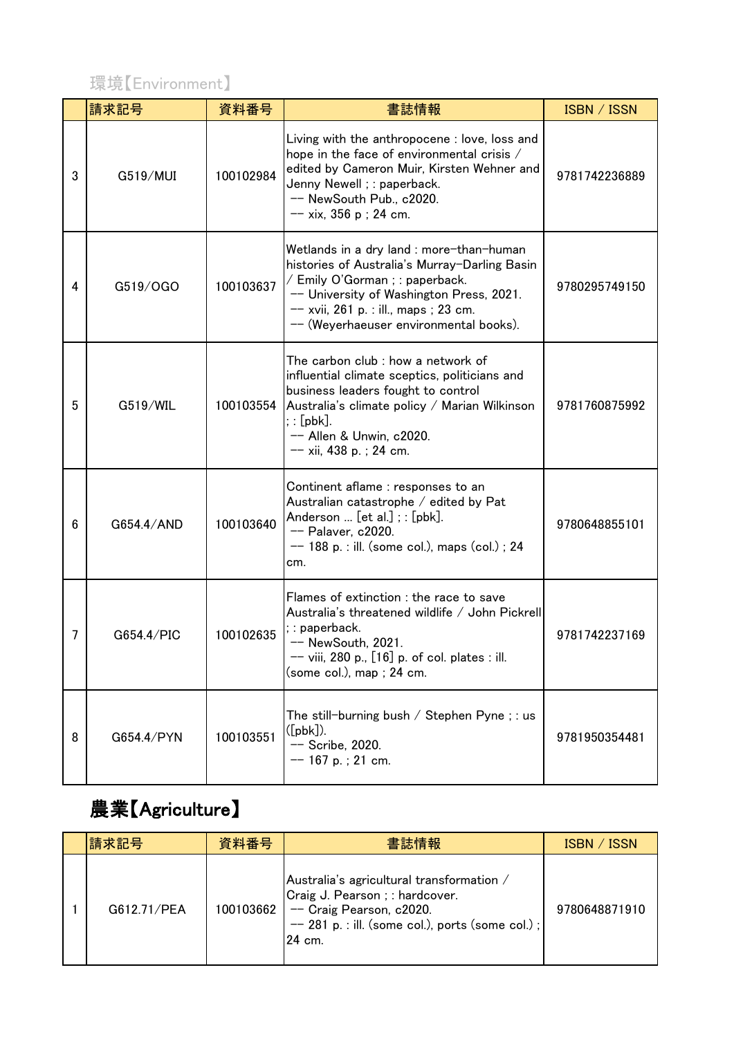

|   | 請求記号       | 資料番号      | 書誌情報                                                                                                                                                                                                                                                        | ISBN / ISSN   |
|---|------------|-----------|-------------------------------------------------------------------------------------------------------------------------------------------------------------------------------------------------------------------------------------------------------------|---------------|
| 3 | G519/MUI   | 100102984 | Living with the anthropocene : love, loss and<br>hope in the face of environmental crisis /<br>edited by Cameron Muir, Kirsten Wehner and<br>Jenny Newell ; : paperback.<br>-- NewSouth Pub., c2020.<br>$-$ xix, 356 p ; 24 cm.                             | 9781742236889 |
| 4 | G519/OGO   | 100103637 | Wetlands in a dry land : more-than-human<br>histories of Australia's Murray-Darling Basin<br>/ Emily O'Gorman ; : paperback.<br>-- University of Washington Press, 2021.<br>-- xvii, 261 p. : ill., maps ; 23 cm.<br>-- (Weyerhaeuser environmental books). | 9780295749150 |
| 5 | G519/WIL   | 100103554 | The carbon club : how a network of<br>influential climate sceptics, politicians and<br>business leaders fought to control<br>Australia's climate policy / Marian Wilkinson<br>$;:[\mathsf{pbk}].$<br>-- Allen & Unwin, c2020.<br>$-- xii$ , 438 p.; 24 cm.  | 9781760875992 |
| 6 | G654.4/AND | 100103640 | Continent aflame : responses to an<br>Australian catastrophe / edited by Pat<br>Anderson $[et al.]$ ; : $[pbk]$ .<br>-- Palaver, c2020.<br>$--$ 188 p. : ill. (some col.), maps (col.); 24<br>cm.                                                           | 9780648855101 |
| 7 | G654.4/PIC | 100102635 | Flames of extinction : the race to save<br>Australia's threatened wildlife / John Pickrell<br>; : paperback.<br>-- NewSouth, 2021.<br>$--$ viii, 280 p., $[16]$ p. of col. plates : ill.<br>(some col.), map ; 24 cm.                                       | 9781742237169 |
| 8 | G654.4/PYN | 100103551 | The still-burning bush / Stephen Pyne ; : us<br>$([pbk])$ .<br>-- Scribe, 2020.<br>$-$ 167 p.; 21 cm.                                                                                                                                                       | 9781950354481 |

## 農業【Agriculture】

| 請求記号        | 資料番号      | 書誌情報                                                                                                                                                                    | ISBN / ISSN   |
|-------------|-----------|-------------------------------------------------------------------------------------------------------------------------------------------------------------------------|---------------|
| G612.71/PEA | 100103662 | Australia's agricultural transformation /<br>Craig J. Pearson ; : hardcover.<br>-- Craig Pearson, c2020.<br>$-$ 281 p. : ill. (some col.), ports (some col.);<br>24 cm. | 9780648871910 |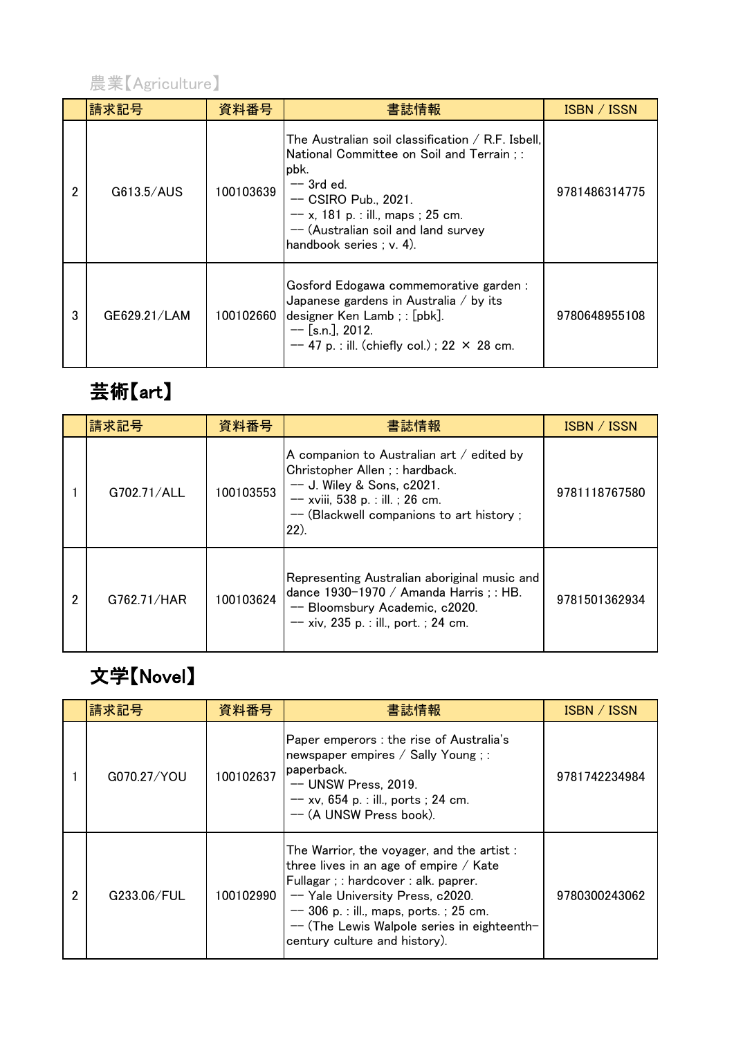

|   | 請求記号         | 資料番号      | 書誌情報                                                                                                                                                                                                                                                         | ISBN / ISSN   |
|---|--------------|-----------|--------------------------------------------------------------------------------------------------------------------------------------------------------------------------------------------------------------------------------------------------------------|---------------|
| 2 | G613.5/AUS   | 100103639 | The Australian soil classification $/$ R.F. Isbell.<br>National Committee on Soil and Terrain : :<br>pbk.<br>$-$ 3rd ed.<br>$-$ CSIRO Pub., 2021.<br>$-- x$ , 181 p. : ill., maps ; 25 cm.<br>-- (Australian soil and land survey<br>handbook series; v. 4). | 9781486314775 |
| 3 | GE629.21/LAM | 100102660 | Gosford Edogawa commemorative garden :<br>Japanese gardens in Australia / by its<br>designer Ken Lamb; : [pbk].<br>$-$ [s.n.], 2012.<br>$-$ 47 p. : ill. (chiefly col.); 22 × 28 cm.                                                                         | 9780648955108 |

# 芸術【art】

|   | 請求記号        | 資料番号      | 書誌情報                                                                                                                                                                                                     | ISBN / ISSN   |
|---|-------------|-----------|----------------------------------------------------------------------------------------------------------------------------------------------------------------------------------------------------------|---------------|
|   | G702.71/ALL | 100103553 | A companion to Australian art $/$ edited by<br>Christopher Allen ; : hardback.<br>$--$ J. Wiley & Sons, c2021.<br>$--$ xviii, 538 p. : ill. ; 26 cm.<br>-- (Blackwell companions to art history;<br>(22) | 9781118767580 |
| 2 | G762.71/HAR | 100103624 | Representing Australian aboriginal music and<br>dance 1930-1970 / Amanda Harris; : HB.<br>-- Bloomsbury Academic, c2020.<br>$-$ xiv, 235 p. : ill., port. ; 24 cm.                                       | 9781501362934 |

## 文学【Novel】

|   | 請求記号        | 資料番号      | 書誌情報                                                                                                                                                                                                                                                                                         | ISBN / ISSN   |
|---|-------------|-----------|----------------------------------------------------------------------------------------------------------------------------------------------------------------------------------------------------------------------------------------------------------------------------------------------|---------------|
|   | G070.27/YOU | 100102637 | Paper emperors : the rise of Australia's<br>newspaper empires / Sally Young;:<br>paperback.<br>$--$ UNSW Press, 2019.<br>$-$ xv, 654 p. : ill., ports ; 24 cm.<br>-- (A UNSW Press book).                                                                                                    | 9781742234984 |
| 2 | G233.06/FUL | 100102990 | The Warrior, the voyager, and the artist:<br>three lives in an age of empire / Kate<br>Fullagar ; : hardcover : alk. paprer.<br>-- Yale University Press, c2020.<br>$-$ 306 p. : ill., maps, ports. ; 25 cm.<br>-- (The Lewis Walpole series in eighteenth-<br>century culture and history). | 9780300243062 |